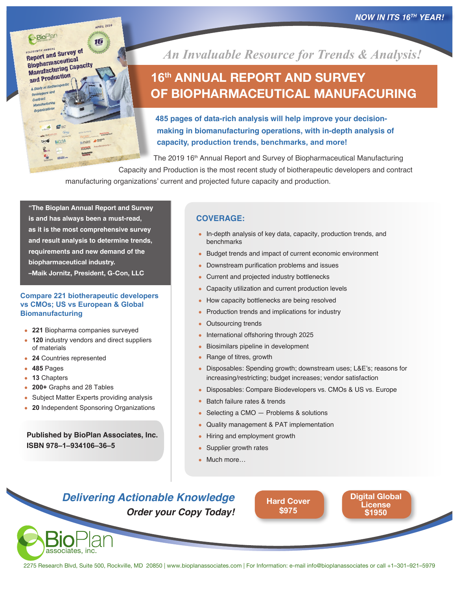*NOW IN ITS 16 TH YEAR!*



 $a =$ 

**BICLSA** 

**Developers** contract **Manufacturing**  **APRIL 2019** 

*An Invaluable Resource for Trends & Analysis!*

# **16 th ANNUAL REPORT AND SURVEY OF BIOPHARMACEUTICAL MANUFACURING**

**485 pages of data-rich analysis will help improve your decisionmaking in biomanufacturing operations, with in-depth analysis of capacity, production trends, benchmarks, and more!**

The 2019 16<sup>th</sup> Annual Report and Survey of Biopharmaceutical Manufacturing

Capacity and Production is the most recent study of biotherapeutic developers and contract manufacturing organizations' current and projected future capacity and production.

**"The Bioplan Annual Report and Survey is and has always been a must-read, as it is the most comprehensive survey and result analysis to determine trends, requirements and new demand of the biopharmaceutical industry. –Maik Jornitz, President, G-Con, LLC**

#### **Compare 221 biotherapeutic developers vs CMOs; US vs European & Global Biomanufacturing**

- **221** Biopharma companies surveyed
- 120 industry vendors and direct suppliers of materials
- **24** Countries represented
- **485** Pages
- **13** Chapters
- **200+** Graphs and 28 Tables

associates, inc.

- Subject Matter Experts providing analysis
- **20** Independent Sponsoring Organizations

**Published by BioPlan Associates, Inc. ISBN 978–1–934106–36–5**

### **COVERAGE:**

- In-depth analysis of key data, capacity, production trends, and benchmarks
- Budget trends and impact of current economic environment
- Downstream purification problems and issues
- Current and projected industry bottlenecks
- Capacity utilization and current production levels
- How capacity bottlenecks are being resolved
- Production trends and implications for industry
- **Outsourcing trends**
- International offshoring through 2025
- Biosimilars pipeline in development
- Range of titres, growth
- Disposables: Spending growth; downstream uses; L&E's; reasons for increasing/restricting; budget increases; vendor satisfaction
- Disposables: Compare Biodevelopers vs. CMOs & US vs. Europe
- Batch failure rates & trends
- Selecting a CMO  $-$  Problems & solutions
- Quality management & PAT implementation
- Hiring and employment growth
- Supplier growth rates
- Much more...

### *Delivering Actionable Knowledge Order your Copy Today!*

**[H](https://secure.ultracart.com/cgi-bin/UCEditor?merchantId=BIOPL&ADD=978-1-934106-36-5)[ard Cover](http://secure.ultracart.com/cgi-bin/UCEditor?merchantId=BIOPL&ADD=978-1-934106-32-7) \$975**

**[Digital Global](https://secure.ultracart.com/cgi-bin/UCEditor?merchantId=BIOPL&ADD=978-1-934106-36-5-E)  License \$1950**

2275 Research Blvd, Suite 500, Rockville, MD 20850 | www.bioplanassociates.com | For Information: e-mail [info@bioplanassociates](mailto:info@bioplanassociates) or call +1–301–921–5979